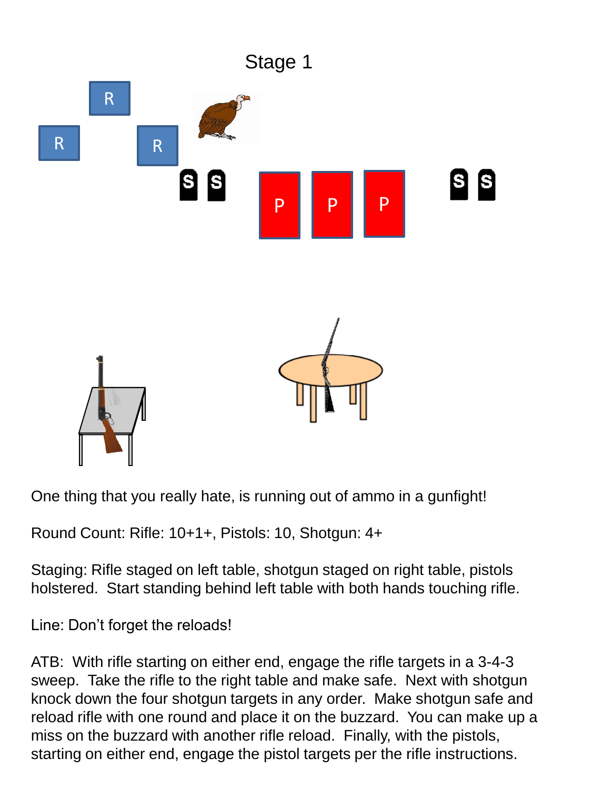

One thing that you really hate, is running out of ammo in a gunfight!

Round Count: Rifle: 10+1+, Pistols: 10, Shotgun: 4+

Staging: Rifle staged on left table, shotgun staged on right table, pistols holstered. Start standing behind left table with both hands touching rifle.

Line: Don't forget the reloads!

ATB: With rifle starting on either end, engage the rifle targets in a 3-4-3 sweep. Take the rifle to the right table and make safe. Next with shotgun knock down the four shotgun targets in any order. Make shotgun safe and reload rifle with one round and place it on the buzzard. You can make up a miss on the buzzard with another rifle reload. Finally, with the pistols, starting on either end, engage the pistol targets per the rifle instructions.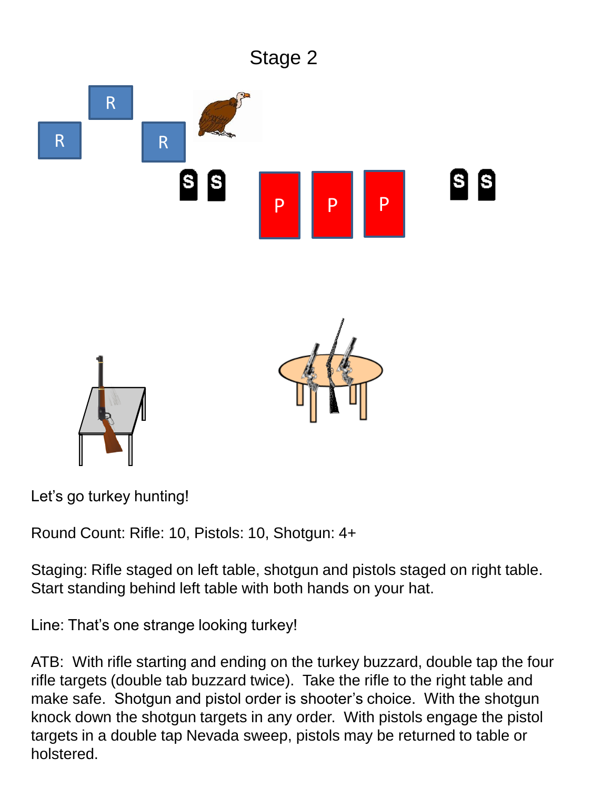

Let's go turkey hunting!

Round Count: Rifle: 10, Pistols: 10, Shotgun: 4+

Staging: Rifle staged on left table, shotgun and pistols staged on right table. Start standing behind left table with both hands on your hat.

Line: That's one strange looking turkey!

ATB: With rifle starting and ending on the turkey buzzard, double tap the four rifle targets (double tab buzzard twice). Take the rifle to the right table and make safe. Shotgun and pistol order is shooter's choice. With the shotgun knock down the shotgun targets in any order. With pistols engage the pistol targets in a double tap Nevada sweep, pistols may be returned to table or holstered.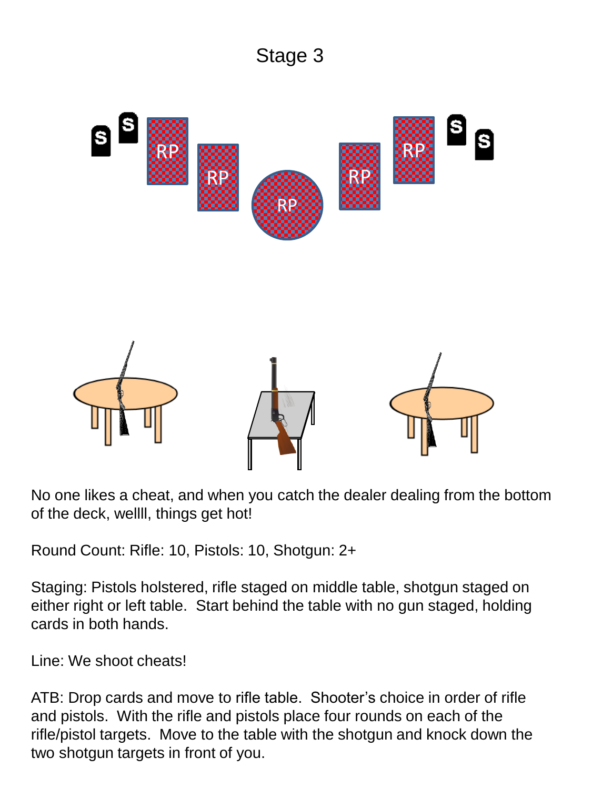

No one likes a cheat, and when you catch the dealer dealing from the bottom of the deck, wellll, things get hot!

Round Count: Rifle: 10, Pistols: 10, Shotgun: 2+

Staging: Pistols holstered, rifle staged on middle table, shotgun staged on either right or left table. Start behind the table with no gun staged, holding cards in both hands.

Line: We shoot cheats!

ATB: Drop cards and move to rifle table. Shooter's choice in order of rifle and pistols. With the rifle and pistols place four rounds on each of the rifle/pistol targets. Move to the table with the shotgun and knock down the two shotgun targets in front of you.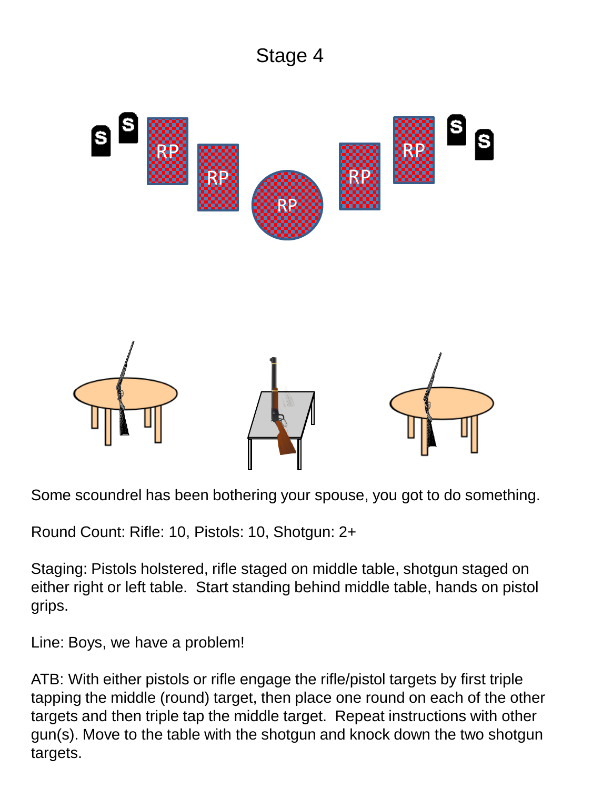

Some scoundrel has been bothering your spouse, you got to do something.

Round Count: Rifle: 10, Pistols: 10, Shotgun: 2+

Staging: Pistols holstered, rifle staged on middle table, shotgun staged on either right or left table. Start standing behind middle table, hands on pistol grips.

Line: Boys, we have a problem!

ATB: With either pistols or rifle engage the rifle/pistol targets by first triple tapping the middle (round) target, then place one round on each of the other targets and then triple tap the middle target. Repeat instructions with other gun(s). Move to the table with the shotgun and knock down the two shotgun targets.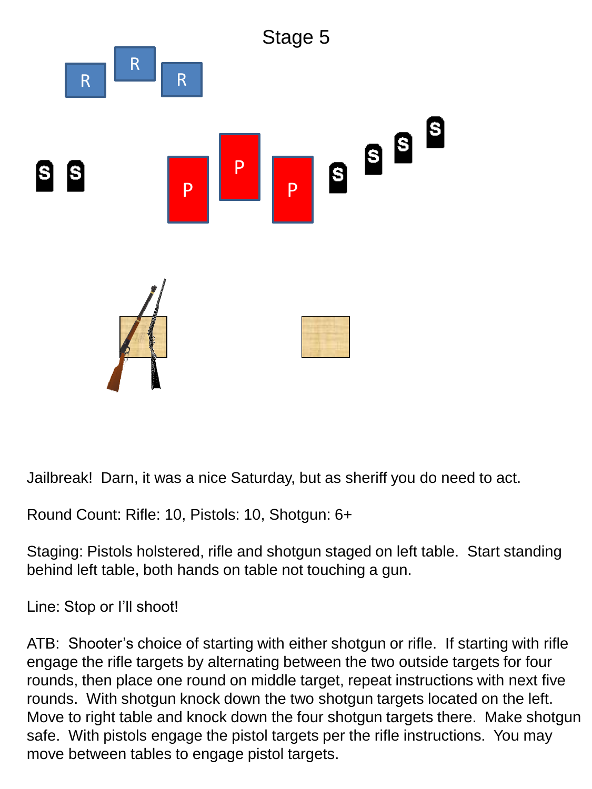

Jailbreak! Darn, it was a nice Saturday, but as sheriff you do need to act.

Round Count: Rifle: 10, Pistols: 10, Shotgun: 6+

Staging: Pistols holstered, rifle and shotgun staged on left table. Start standing behind left table, both hands on table not touching a gun.

Line: Stop or I'll shoot!

ATB: Shooter's choice of starting with either shotgun or rifle. If starting with rifle engage the rifle targets by alternating between the two outside targets for four rounds, then place one round on middle target, repeat instructions with next five rounds. With shotgun knock down the two shotgun targets located on the left. Move to right table and knock down the four shotgun targets there. Make shotgun safe. With pistols engage the pistol targets per the rifle instructions. You may move between tables to engage pistol targets.